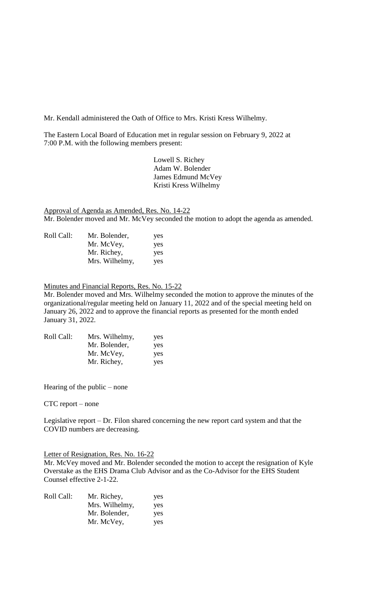Mr. Kendall administered the Oath of Office to Mrs. Kristi Kress Wilhelmy.

The Eastern Local Board of Education met in regular session on February 9, 2022 at 7:00 P.M. with the following members present:

> Lowell S. Richey Adam W. Bolender James Edmund McVey Kristi Kress Wilhelmy

Approval of Agenda as Amended, Res. No. 14-22 Mr. Bolender moved and Mr. McVey seconded the motion to adopt the agenda as amended.

| Roll Call: | Mr. Bolender,  | yes |
|------------|----------------|-----|
|            | Mr. McVey,     | yes |
|            | Mr. Richey,    | yes |
|            | Mrs. Wilhelmy, | yes |

Minutes and Financial Reports, Res. No. 15-22

Mr. Bolender moved and Mrs. Wilhelmy seconded the motion to approve the minutes of the organizational/regular meeting held on January 11, 2022 and of the special meeting held on January 26, 2022 and to approve the financial reports as presented for the month ended January 31, 2022.

| Roll Call: | Mrs. Wilhelmy, | yes |
|------------|----------------|-----|
|            | Mr. Bolender,  | yes |
|            | Mr. McVey,     | yes |
|            | Mr. Richey,    | yes |

Hearing of the public – none

CTC report – none

Legislative report – Dr. Filon shared concerning the new report card system and that the COVID numbers are decreasing.

## Letter of Resignation, Res. No. 16-22

Mr. McVey moved and Mr. Bolender seconded the motion to accept the resignation of Kyle Overstake as the EHS Drama Club Advisor and as the Co-Advisor for the EHS Student Counsel effective 2-1-22.

| Roll Call: | Mr. Richey,    | yes |
|------------|----------------|-----|
|            | Mrs. Wilhelmy, | yes |
|            | Mr. Bolender,  | yes |
|            | Mr. McVey,     | yes |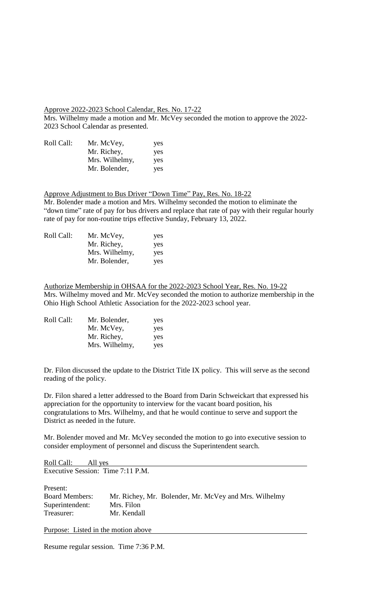## Approve 2022-2023 School Calendar, Res. No. 17-22

Mrs. Wilhelmy made a motion and Mr. McVey seconded the motion to approve the 2022- 2023 School Calendar as presented.

| Roll Call: | Mr. McVey,     | yes |
|------------|----------------|-----|
|            | Mr. Richey,    | yes |
|            | Mrs. Wilhelmy, | yes |
|            | Mr. Bolender,  | yes |

Approve Adjustment to Bus Driver "Down Time" Pay, Res. No. 18-22 Mr. Bolender made a motion and Mrs. Wilhelmy seconded the motion to eliminate the "down time" rate of pay for bus drivers and replace that rate of pay with their regular hourly rate of pay for non-routine trips effective Sunday, February 13, 2022.

| Roll Call: | Mr. McVey,     | yes |
|------------|----------------|-----|
|            | Mr. Richey,    | yes |
|            | Mrs. Wilhelmy, | yes |
|            | Mr. Bolender,  | yes |

Authorize Membership in OHSAA for the 2022-2023 School Year, Res. No. 19-22 Mrs. Wilhelmy moved and Mr. McVey seconded the motion to authorize membership in the Ohio High School Athletic Association for the 2022-2023 school year.

| Roll Call: | Mr. Bolender,  | yes |
|------------|----------------|-----|
|            | Mr. McVey,     | yes |
|            | Mr. Richey,    | yes |
|            | Mrs. Wilhelmy, | yes |

Dr. Filon discussed the update to the District Title IX policy. This will serve as the second reading of the policy.

Dr. Filon shared a letter addressed to the Board from Darin Schweickart that expressed his appreciation for the opportunity to interview for the vacant board position, his congratulations to Mrs. Wilhelmy, and that he would continue to serve and support the District as needed in the future.

Mr. Bolender moved and Mr. McVey seconded the motion to go into executive session to consider employment of personnel and discuss the Superintendent search.

Roll Call: All yes Executive Session: Time 7:11 P.M.

| Present:              |                                                       |
|-----------------------|-------------------------------------------------------|
| <b>Board Members:</b> | Mr. Richey, Mr. Bolender, Mr. McVey and Mrs. Wilhelmy |
| Superintendent:       | Mrs. Filon                                            |
| Treasurer:            | Mr. Kendall                                           |
|                       |                                                       |

Purpose: Listed in the motion above

Resume regular session. Time 7:36 P.M.